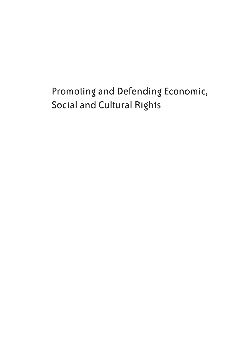# Promoting and Defending Economic, Social and Cultural Rights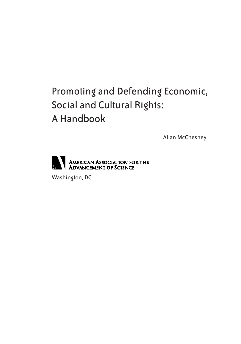# Promoting and Defending Economic, Social and Cultural Rights: A Handbook

Allan McChesney



Washington, DC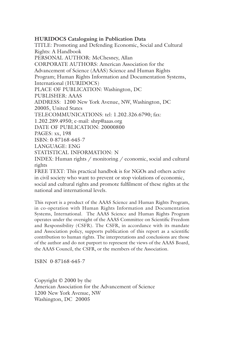**HURIDOCS Cataloguing in Publication Data** TITLE: Promoting and Defending Economic, Social and Cultural Rights: A Handbook PERSONAL AUTHOR: McChesney, Allan CORPORATE AUTHORS: American Association for the Advancement of Science (AAAS) Science and Human Rights Program; Human Rights Information and Documentation Systems, International (HURIDOCS) PLACE OF PUBLICATION: Washington, DC PUBLISHER: AAAS ADDRESS: 1200 New York Avenue, NW, Washington, DC 20005, United States TELECOMMUNICATIONS: tel: 1.202.326.6790; fax: 1.202.289.4950; e-mail: shrp@aaas.org DATE OF PUBLICATION: 20000800 PAGES: xx, 198 ISBN: 0-87168-645-7 LANGUAGE: ENG STATISTICAL INFORMATION: N INDEX: Human rights / monitoring / economic, social and cultural rights FREE TEXT: This practical handbok is for NGOs and others active in civil society who want to prevent or stop violations of economic,

social and cultural rights and promote fulfilment of these rights at the national and international levels.

This report is a product of the AAAS Science and Human Rights Program, in co-operation with Human Rights Information and Documentation Systems, International. The AAAS Science and Human Rights Program operates under the oversight of the AAAS Committee on Scientific Freedom and Responsibility (CSFR). The CSFR, in accordance with its mandate and Association policy, supports publication of this report as a scientific contribution to human rights. The interpretations and conclusions are those of the author and do not purport to represent the views of the AAAS Board, the AAAS Council, the CSFR, or the members of the Association.

ISBN 0-87168-645-7

Copyright © 2000 by the American Association for the Advancement of Science 1200 New York Avenue, NW Washington, DC 20005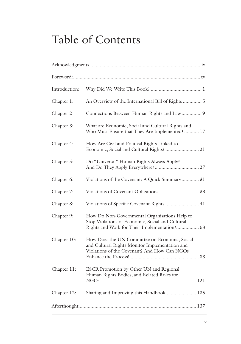# Table of Contents

| Introduction: |                                                                                                                                                   |
|---------------|---------------------------------------------------------------------------------------------------------------------------------------------------|
| Chapter 1:    | An Overview of the International Bill of Rights  5                                                                                                |
| Chapter 2:    | Connections Between Human Rights and Law 9                                                                                                        |
| Chapter 3:    | What are Economic, Social and Cultural Rights and<br>Who Must Ensure that They Are Implemented?  17                                               |
| Chapter 4:    | How Are Civil and Political Rights Linked to<br>Economic, Social and Cultural Rights?  21                                                         |
| Chapter 5:    | Do "Universal" Human Rights Always Apply?                                                                                                         |
| Chapter 6:    | Violations of the Covenant: A Quick Summary 31                                                                                                    |
| Chapter 7:    | Violations of Covenant Obligations 33                                                                                                             |
| Chapter 8:    | Violations of Specific Covenant Rights  41                                                                                                        |
| Chapter 9:    | How Do Non-Governmental Organisations Help to<br>Stop Violations of Economic, Social and Cultural<br>Rights and Work for Their Implementation? 63 |
| Chapter 10:   | How Does the UN Committee on Economic, Social<br>and Cultural Rights Monitor Implementation and<br>Violations of the Covenant? And How Can NGOs   |
| Chapter 11:   | ESCR Promotion by Other UN and Regional<br>Human Rights Bodies, and Related Roles for                                                             |
| Chapter 12:   | Sharing and Improving this Handbook 135                                                                                                           |
|               |                                                                                                                                                   |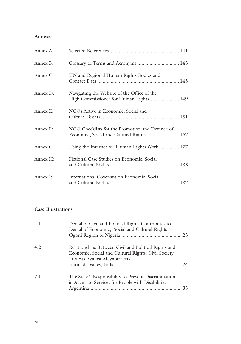#### **Annexes**

| Annex A: |                                                                                             |
|----------|---------------------------------------------------------------------------------------------|
| Annex B: | Glossary of Terms and Acronyms 143                                                          |
| Annex C: | UN and Regional Human Rights Bodies and                                                     |
| Annex D: | Navigating the Website of the Office of the<br>High Commissioner for Human Rights 149       |
| Annex E: | NGOs Active in Economic, Social and                                                         |
| Annex F: | NGO Checklists for the Promotion and Defence of<br>Economic, Social and Cultural Rights 167 |
| Annex G: | Using the Internet for Human Rights Work  177                                               |
| Annex H: | Fictional Case Studies on Economic, Social                                                  |
| Annex I: | International Covenant on Economic, Social                                                  |

#### **Case Illustrations**

| 4.1 | Denial of Civil and Political Rights Contributes to<br>Denial of Economic, Social and Cultural Rights                                        |    |
|-----|----------------------------------------------------------------------------------------------------------------------------------------------|----|
| 4.2 | Relationships Between Civil and Political Rights and<br>Economic, Social and Cultural Rights: Civil Society<br>Protests Against Megaprojects |    |
| 7.1 | The State's Responsibility to Prevent Discrimination<br>in Access to Services for People with Disabilities                                   | 35 |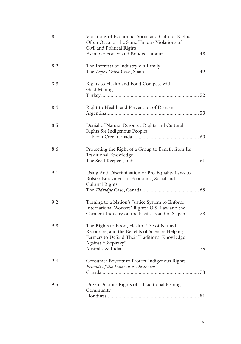| 8.1 | Violations of Economic, Social and Cultural Rights<br>Often Occur at the Same Time as Violations of<br>Civil and Political Rights<br>Example: Forced and Bonded Labour  43 |
|-----|----------------------------------------------------------------------------------------------------------------------------------------------------------------------------|
| 8.2 | The Interests of Industry v. a Family                                                                                                                                      |
| 8.3 | Rights to Health and Food Compete with<br>Gold Mining                                                                                                                      |
| 8.4 | Right to Health and Prevention of Disease                                                                                                                                  |
| 8.5 | Denial of Natural Resource Rights and Cultural<br>Rights for Indigenous Peoples                                                                                            |
| 8.6 | Protecting the Right of a Group to Benefit from Its<br>Traditional Knowledge                                                                                               |
| 9.1 | Using Anti-Discrimination or Pro-Equality Laws to<br>Bolster Enjoyment of Economic, Social and<br>Cultural Rights                                                          |
| 9.2 | Turning to a Nation's Justice System to Enforce<br>International Workers' Rights: U.S. Law and the<br>Garment Industry on the Pacific Island of Saipan73                   |
| 9.3 | The Rights to Food, Health, Use of Natural<br>Resources, and the Benefits of Science: Helping<br>Farmers to Defend Their Traditional Knowledge<br>Against "Biopiracy"      |
| 9.4 | Consumer Boycott to Protect Indigenous Rights:<br>Friends of the Lubicon v. Daishowa                                                                                       |
| 9.5 | Urgent Action: Rights of a Traditional Fishing<br>Community                                                                                                                |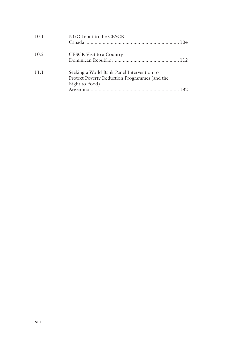| 10.1 | NGO Input to the CESCR                                                                                        |  |
|------|---------------------------------------------------------------------------------------------------------------|--|
| 10.2 | CESCR Visit to a Country                                                                                      |  |
| 11.1 | Seeking a World Bank Panel Intervention to<br>Protect Poverty Reduction Programmes (and the<br>Right to Food) |  |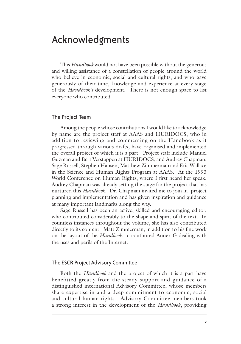## Acknowledgments

This *Handbook* would not have been possible without the generous and willing assistance of a constellation of people around the world who believe in economic, social and cultural rights, and who gave generously of their time, knowledge and experience at every stage of the *Handbook's* development. There is not enough space to list everyone who contributed.

#### The Project Team

Among the people whose contributions I would like to acknowledge by name are the project staff at AAAS and HURIDOCS, who in addition to reviewing and commenting on the Handbook as it progressed through various drafts, have organised and implemented the overall project of which it is a part. Project staff include Manuel Guzman and Bert Verstappen at HURIDOCS, and Audrey Chapman, Sage Russell, Stephen Hansen, Matthew Zimmerman and Eric Wallace in the Science and Human Rights Program at AAAS. At the 1993 World Conference on Human Rights, where I first heard her speak, Audrey Chapman was already setting the stage for the project that has nurtured this *Handbook*. Dr. Chapman invited me to join in project planning and implementation and has given inspiration and guidance at many important landmarks along the way.

Sage Russell has been an active, skilled and encouraging editor, who contributed considerably to the shape and spirit of the text. In countless instances throughout the volume, she has also contributed directly to its content. Matt Zimmerman, in addition to his fine work on the layout of the *Handbook*, co-authored Annex G dealing with the uses and perils of the Internet.

#### The ESCR Project Advisory Committee

Both the *Handbook* and the project of which it is a part have benefitted greatly from the steady support and guidance of a distinguished international Advisory Committee, whose members share expertise in and a deep commitment to economic, social and cultural human rights. Advisory Committee members took a strong interest in the development of the *Handbook*, providing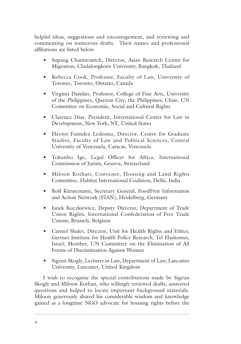helpful ideas, suggestions and encouragement, and reviewing and commenting on numerous drafts. Their names and professional affiliations are listed below.

- Supang Chantavanich, Director, Asian Research Centre for Migration, Chulalongkorn University, Bangkok, Thailand
- Rebecca Cook, Professor, Faculty of Law, University of Toronto, Toronto, Ontario, Canada
- Virginia Dandan, Professor, College of Fine Arts, University of the Philippines, Quezon City, the Philippines; Chair, UN Committee on Economic, Social and Cultural Rights
- Clarence Dias, President, International Center for Law in Development, New York, NY, United States
- Héctor Faúndez Ledesma, Director, Centre for Graduate Studies, Faculty of Law and Political Sciences, Central University of Venezuela, Caracas, Venezuela
- Tokunbo Ige, Legal Officer for Africa, International Commission of Jurists, Geneva, Switzerland
- Miloon Kothari, Convener, Housing and Land Rights Committee, Habitat International Coalition, Delhi, India
- Rolf Künnemann, Secretary General, FoodFirst Information and Action Network (FIAN), Heidelberg, Germany
- Janek Kuczkiewicz, Deputy Director, Department of Trade Union Rights, International Confederation of Free Trade Unions, Brussels, Belgium
- Carmel Shalev, Director, Unit for Health Rights and Ethics, Gertner Institute for Health Policy Research, Tel Hashomer, Israel; Member, UN Committee on the Elimination of All Forms of Discrimination Against Women
- Sigrun Skogly, Lecturer in Law, Department of Law, Lancaster University, Lancaster, United Kingdom

I wish to recognise the special contributions made by Sigrun Skogly and Miloon Kothari, who willingly reviewed drafts, answered questions and helped to locate important background materials. Miloon generously shared his considerable wisdom and knowledge gained as a longtime NGO advocate for housing rights before the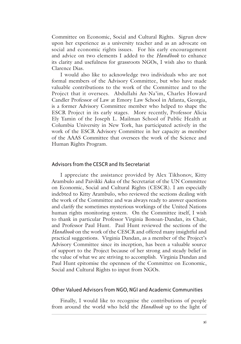Committee on Economic, Social and Cultural Rights. Sigrun drew upon her experience as a university teacher and as an advocate on social and economic rights issues. For his early encouragement and advice on two elements I added to the *Handbook* to enhance its clarity and usefulness for grassroots NGOs, I wish also to thank Clarence Dias.

I would also like to acknowledge two individuals who are not formal members of the Advisory Committee, but who have made valuable contributions to the work of the Committee and to the Project that it oversees. Abdullahi An-Na'im, Charles Howard Candler Professor of Law at Emory Law School in Atlanta, Georgia, is a former Advisory Committee member who helped to shape the ESCR Project in its early stages. More recently, Professor Alicia Ely Yamin of the Joseph L. Mailman School of Public Health at Columbia University in New York, has participated actively in the work of the ESCR Advisory Committee in her capacity as member of the AAAS Committee that oversees the work of the Science and Human Rights Program.

#### Advisors from the CESCR and Its Secretariat

I appreciate the assistance provided by Alex Tikhonov, Kitty Arambulo and Paivikki Aaku of the Secretariat of the UN Committee on Economic, Social and Cultural Rights (CESCR). I am especially indebted to Kitty Arambulo, who reviewed the sections dealing with the work of the Committee and was always ready to answer questions and clarify the sometimes mysterious workings of the United Nations human rights monitoring system. On the Committee itself, I wish to thank in particular Professor Virginia Bonoan-Dandan, its Chair, and Professor Paul Hunt. Paul Hunt reviewed the sections of the *Handbook* on the work of the CESCR and offered many insightful and practical suggestions. Virginia Dandan, as a member of the Project's Advisory Committee since its inception, has been a valuable source of support to the Project because of her strong and steady belief in the value of what we are striving to accomplish. Virginia Dandan and Paul Hunt epitomise the openness of the Committee on Economic, Social and Cultural Rights to input from NGOs.

#### Other Valued Advisors from NGO, NGI and Academic Communities

Finally, I would like to recognise the contributions of people from around the world who held the *Handbook* up to the light of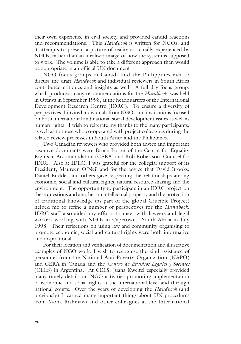their own experience in civil society and provided candid reactions and recommendations. This *Handbook* is written for NGOs, and it attempts to present a picture of reality as actually experienced by NGOs, rather than an idealised image of how the system is supposed to work. The volume is able to take a different approach than would be appropriate in an official UN document

NGO focus groups in Canada and the Philippines met to discuss the draft *Handbook* and individual reviewers in South Africa contributed critiques and insights as well. A full day focus group, which produced many recommendations for the *Handbook*, was held in Ottawa in September 1998, at the headquarters of the International Development Research Centre (IDRC). To ensure a diversity of perspectives, I invited individuals from NGOs and institutions focused on both international and national social development issues as well as human rights. I wish to reiterate my thanks to the many participants, as well as to those who co-operated with project colleagues during the related review processes in South Africa and the Philippines.

Two Canadian reviewers who provided both advice and important resource documents were Bruce Porter of the Centre for Equality Rights in Accommodation (CERA) and Rob Robertson, Counsel for IDRC. Also at IDRC, I was grateful for the collegial support of its President, Maureen O'Neil and for the advice that David Brooks, Daniel Buckles and others gave respecting the relationships among economic, social and cultural rights, natural resource sharing and the environment. The opportunity to participate in an IDRC project on these questions and another on intellectual property and the protection of traditional knowledge (as part of the global Crucible Project) helped me to refine a number of perspectives for the *Handbook*. IDRC staff also aided my efforts to meet with lawyers and legal workers working with NGOs in Capetown, South Africa in July 1998. Their reflections on using law and community organising to promote economic, social and cultural rights were both informative and inspirational.

For their location and verification of documentation and illustrative examples of NGO work, I wish to recognise the kind assistance of personnel from the National Anti-Poverty Organization (NAPO) and CERA in Canada and the *Centro de Estudios Legales y Sociales* (CELS) in Argentina. At CELS, Juana Kweitel especially provided many timely details on NGO activities promoting implementation of economic and social rights at the international level and through national courts. Over the years of developing the *Handbook* (and previously) I learned many important things about UN procedures from Mona Rishmawi and other colleagues at the International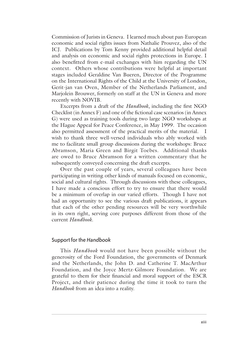Commission of Jurists in Geneva. I learned much about pan-European economic and social rights issues from Nathalie Prouvez, also of the ICJ. Publications by Tom Kenny provided additional helpful detail and analysis on economic and social rights protections in Europe. I also benefitted from e-mail exchanges with him regarding the UN context. Others whose contributions were helpful at important stages included Geraldine Van Bueren, Director of the Programme on the International Rights of the Child at the University of London, Gerit-jan van Oven, Member of the Netherlands Parliament, and Marjolein Brouwer, formerly on staff at the UN in Geneva and more recently with NOVIB.

Excerpts from a draft of the *Handbook*, including the first NGO Checklist (in Annex F) and one of the fictional case scenarios (in Annex G) were used as training tools during two large NGO workshops at the Hague Appeal for Peace Conference, in May 1999. The occasion also permitted assessment of the practical merits of the material. I wish to thank three well-versed individuals who ably worked with me to facilitate small group discussions during the workshops: Bruce Abramson, Maria Green and Birgit Toebes. Additional thanks are owed to Bruce Abramson for a written commentary that he subsequently conveyed concerning the draft excerpts.

Over the past couple of years, several colleagues have been participating in writing other kinds of manuals focused on economic, social and cultural rights. Through discussions with these colleagues, I have made a conscious effort to try to ensure that there would be a minimum of overlap in our varied efforts. Though I have not had an opportunity to see the various draft publications, it appears that each of the other pending resources will be very worthwhile in its own right, serving core purposes different from those of the current *Handbook*.

#### Support for the *Handbook*

This *Handbook* would not have been possible without the generosity of the Ford Foundation, the governments of Denmark and the Netherlands, the John D. and Catherine T. MacArthur Foundation, and the Joyce Mertz-Gilmore Foundation. We are grateful to them for their financial and moral support of the ESCR Project, and their patience during the time it took to turn the *Handbook* from an idea into a reality.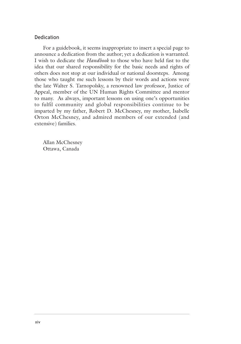#### Dedication

For a guidebook, it seems inappropriate to insert a special page to announce a dedication from the author; yet a dedication is warranted. I wish to dedicate the *Handbook* to those who have held fast to the idea that our shared responsibility for the basic needs and rights of others does not stop at our individual or national doorsteps. Among those who taught me such lessons by their words and actions were the late Walter S. Tarnopolsky, a renowned law professor, Justice of Appeal, member of the UN Human Rights Committee and mentor to many. As always, important lessons on using one's opportunities to fulfil community and global responsibilities continue to be imparted by my father, Robert D. McChesney, my mother, Isabelle Orton McChesney, and admired members of our extended (and extensive) families.

Allan McChesney Ottawa, Canada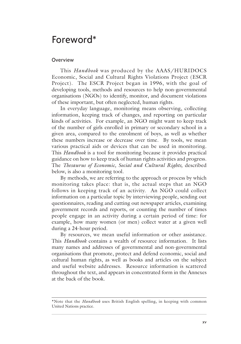### Foreword\*

#### **Overview**

This *Handbook* was produced by the AAAS/HURIDOCS Economic, Social and Cultural Rights Violations Project (ESCR Project). The ESCR Project began in 1996, with the goal of developing tools, methods and resources to help non-governmental organisations (NGOs) to identify, monitor, and document violations of these important, but often neglected, human rights.

In everyday language, monitoring means observing, collecting information, keeping track of changes, and reporting on particular kinds of activities. For example, an NGO might want to keep track of the number of girls enrolled in primary or secondary school in a given area, compared to the enrolment of boys, as well as whether these numbers increase or decrease over time. By tools, we mean various practical aids or devices that can be used in monitoring. This *Handbook* is a tool for monitoring because it provides practical guidance on how to keep track of human rights activities and progress. The *Thesaurus of Economic, Social and Cultural Rights,* described below, is also a monitoring tool.

By methods, we are referring to the approach or process by which monitoring takes place: that is, the actual steps that an NGO follows in keeping track of an activity. An NGO could collect information on a particular topic by interviewing people, sending out questionnaires, reading and cutting out newspaper articles, examining government records and reports, or counting the number of times people engage in an activity during a certain period of time: for example, how many women (or men) collect water at a given well during a 24-hour period.

By resources, we mean useful information or other assistance. This *Handbook* contains a wealth of resource information. It lists many names and addresses of governmental and non-governmental organisations that promote, protect and defend economic, social and cultural human rights, as well as books and articles on the subject and useful website addresses. Resource information is scattered throughout the text, and appears in concentrated form in the Annexes at the back of the book.

<sup>\*</sup>Note that the *Handbook* uses British English spelling, in keeping with common United Nations practice.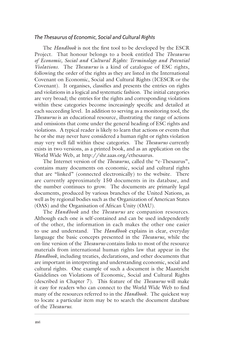#### *The Thesaurus of Economic, Social and Cultural Rights*

The *Handbook* is not the first tool to be developed by the ESCR Project. That honour belongs to a book entitled The *Thesaurus of Economic, Social and Cultural Rights: Terminology and Potential Violations.* The *Thesaurus* is a kind of catalogue of ESC rights, following the order of the rights as they are listed in the International Covenant on Economic, Social and Cultural Rights (ICESCR or the Covenant). It organises, classifies and presents the entries on rights and violations in a logical and systematic fashion. The initial categories are very broad; the entries for the rights and corresponding violations within these categories become increasingly specific and detailed at each succeeding level. In addition to serving as a monitoring tool, the *Thesaurus* is an educational resource, illustrating the range of actions and omissions that come under the general heading of ESC rights and violations. A typical reader is likely to learn that actions or events that he or she may never have considered a human right or rights violation may very well fall within these categories. The *Thesaurus* currently exists in two versions, as a printed book, and as an application on the World Wide Web, at http://shr.aaas.org/ethesaurus.

The Internet version of the *Thesaurus*, called the "e-Thesaurus", contains many documents on economic, social and cultural rights that are "linked" (connected electronically) to the website. There are currently approximately 150 documents in its database, and the number continues to grow. The documents are primarily legal documents, produced by various branches of the United Nations, as well as by regional bodies such as the Organization of American States (OAS) and the Organisation of African Unity (OAU).

The *Handbook* and the *Thesaurus* are companion resources. Although each one is self-contained and can be used independently of the other, the information in each makes the other one easier to use and understand. The *Handbook* explains in clear, everyday language the basic concepts presented in the *Thesaurus*, while the on-line version of the *Thesaurus* contains links to most of the resource materials from international human rights law that appear in the *Handbook*, including treaties, declarations, and other documents that are important in interpreting and understanding economic, social and cultural rights. One example of such a document is the Maastricht Guidelines on Violations of Economic, Social and Cultural Rights (described in Chapter 7). This feature of the *Thesaurus* will make it easy for readers who can connect to the World Wide Web to find many of the resources referred to in the *Handbook*. The quickest way to locate a particular item may be to search the document database of the *Thesaurus*.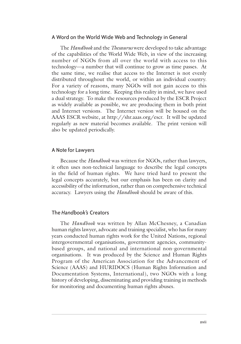#### A Word on the World Wide Web and Technology in General

The *Handbook* and the *Thesaurus* were developed to take advantage of the capabilities of the World Wide Web, in view of the increasing number of NGOs from all over the world with access to this technology—a number that will continue to grow as time passes. At the same time, we realise that access to the Internet is not evenly distributed throughout the world, or within an individual country. For a variety of reasons, many NGOs will not gain access to this technology for a long time. Keeping this reality in mind, we have used a dual strategy. To make the resources produced by the ESCR Project as widely available as possible, we are producing them in both print and Internet versions. The Internet version will be housed on the AAAS ESCR website, at http://shr.aaas.org/escr. It will be updated regularly as new material becomes available. The print version will also be updated periodically.

#### A Note for Lawyers

Because the *Handbook* was written for NGOs, rather than lawyers, it often uses non-technical language to describe the legal concepts in the field of human rights. We have tried hard to present the legal concepts accurately, but our emphasis has been on clarity and accessibility of the information, rather than on comprehensive technical accuracy. Lawyers using the *Handbook* should be aware of this.

#### The *Handbook's* Creators

The *Handbook* was written by Allan McChesney, a Canadian human rights lawyer, advocate and training specialist, who has for many years conducted human rights work for the United Nations, regional intergovernmental organisations, government agencies, communitybased groups, and national and international non-governmental organisations. It was produced by the Science and Human Rights Program of the American Association for the Advancement of Science (AAAS) and HURIDOCS (Human Rights Information and Documentation Systems, International), two NGOs with a long history of developing, disseminating and providing training in methods for monitoring and documenting human rights abuses.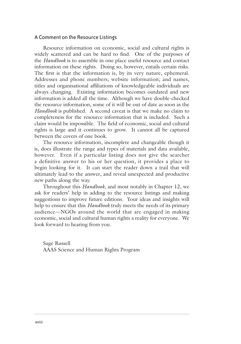#### A Comment on the Resource Listings

Resource information on economic, social and cultural rights is widely scattered and can be hard to find. One of the purposes of the *Handbook* is to assemble in one place useful resource and contact information on these rights. Doing so, however, entails certain risks. The first is that the information is, by its very nature, ephemeral. Addresses and phone numbers; website information; and names, titles and organisational affiliations of knowledgeable individuals are always changing. Existing information becomes outdated and new information is added all the time. Although we have double-checked the resource information, some of it will be out of date as soon as the *Handbook* is published. A second caveat is that we make no claim to completeness for the resource information that is included. Such a claim would be impossible. The field of economic, social and cultural rights is large and it continues to grow. It cannot all be captured between the covers of one book.

The resource information, incomplete and changeable though it is, does illustrate the range and types of materials and data available, however. Even if a particular listing does not give the searcher a definitive answer to his or her question, it provides a place to begin looking for it. It can start the reader down a trail that will ultimately lead to the answer, and reveal unexpected and productive new paths along the way.

Throughout this *Handbook*, and most notably in Chapter 12, we ask for readers' help in adding to the resource listings and making suggestions to improve future editions. Your ideas and insights will help to ensure that this *Handbook* truly meets the needs of its primary audience—NGOs around the world that are engaged in making economic, social and cultural human rights a reality for everyone. We look forward to hearing from you.

Sage Russell AAAS Science and Human Rights Program